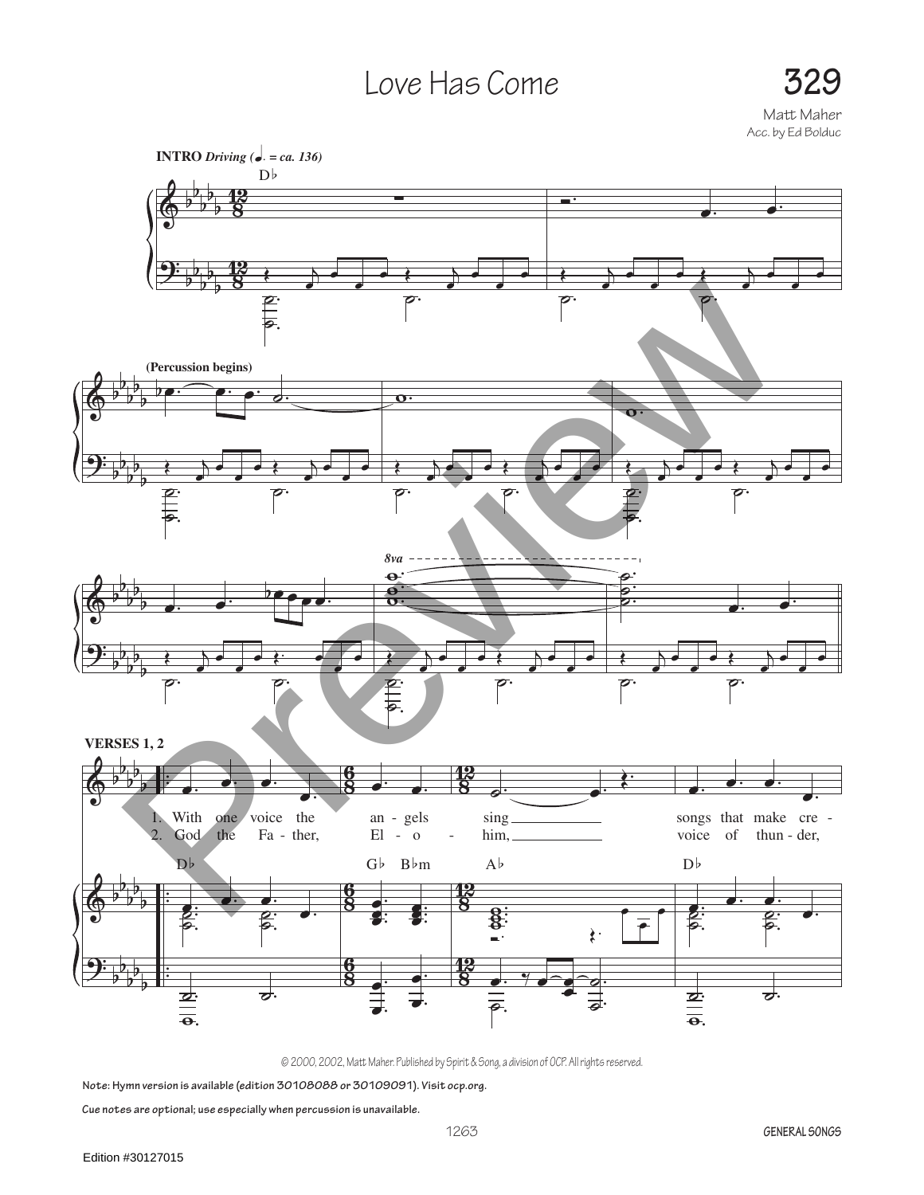## Love Has Come **329**





© 2000, 2002, Matt Maher. Published by Spirit & Song, a division of OCP. All rights reserved.

**Note: Hymn version is available (edition 30108088 or 30109091). Visit ocp.org.**

**Cue notes are optional; use especially when percussion is unavailable.**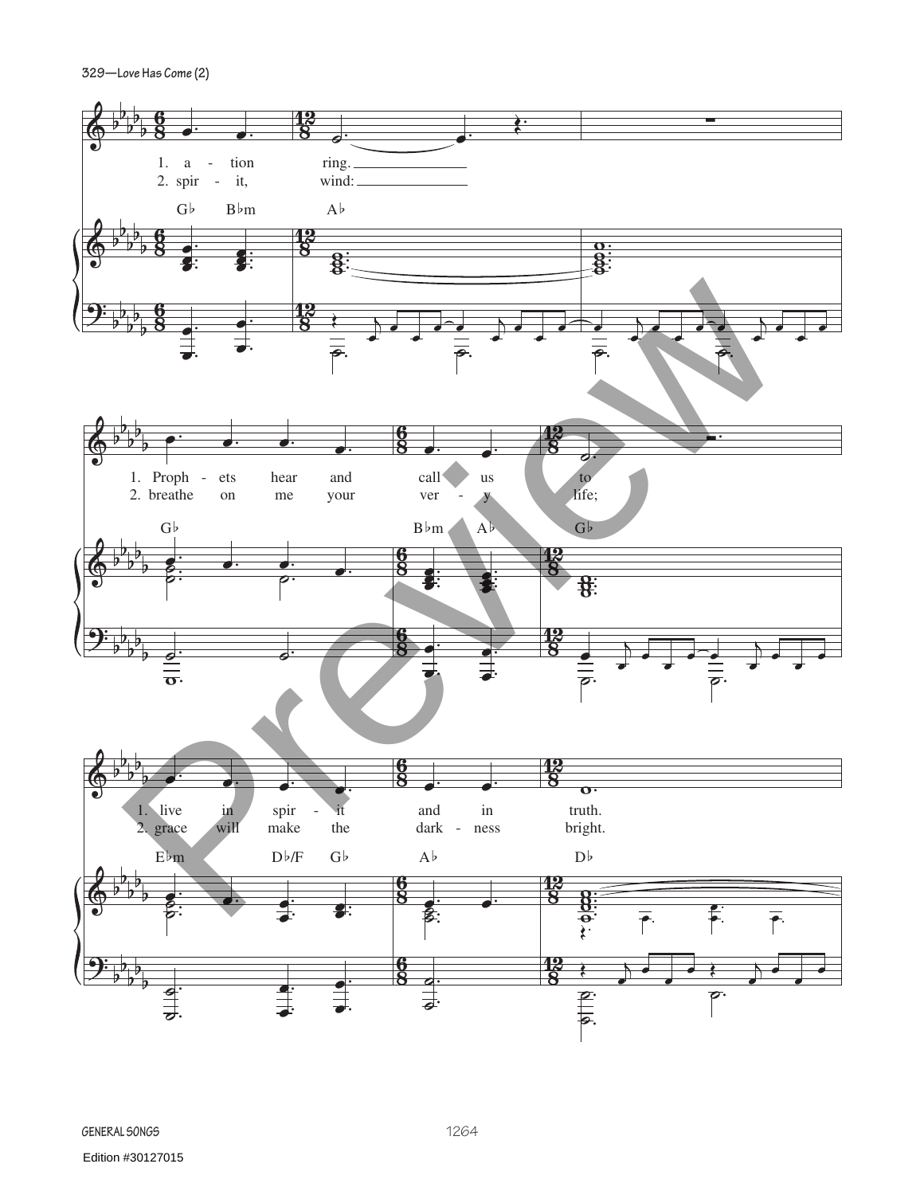**329—Love Has Come (2)**

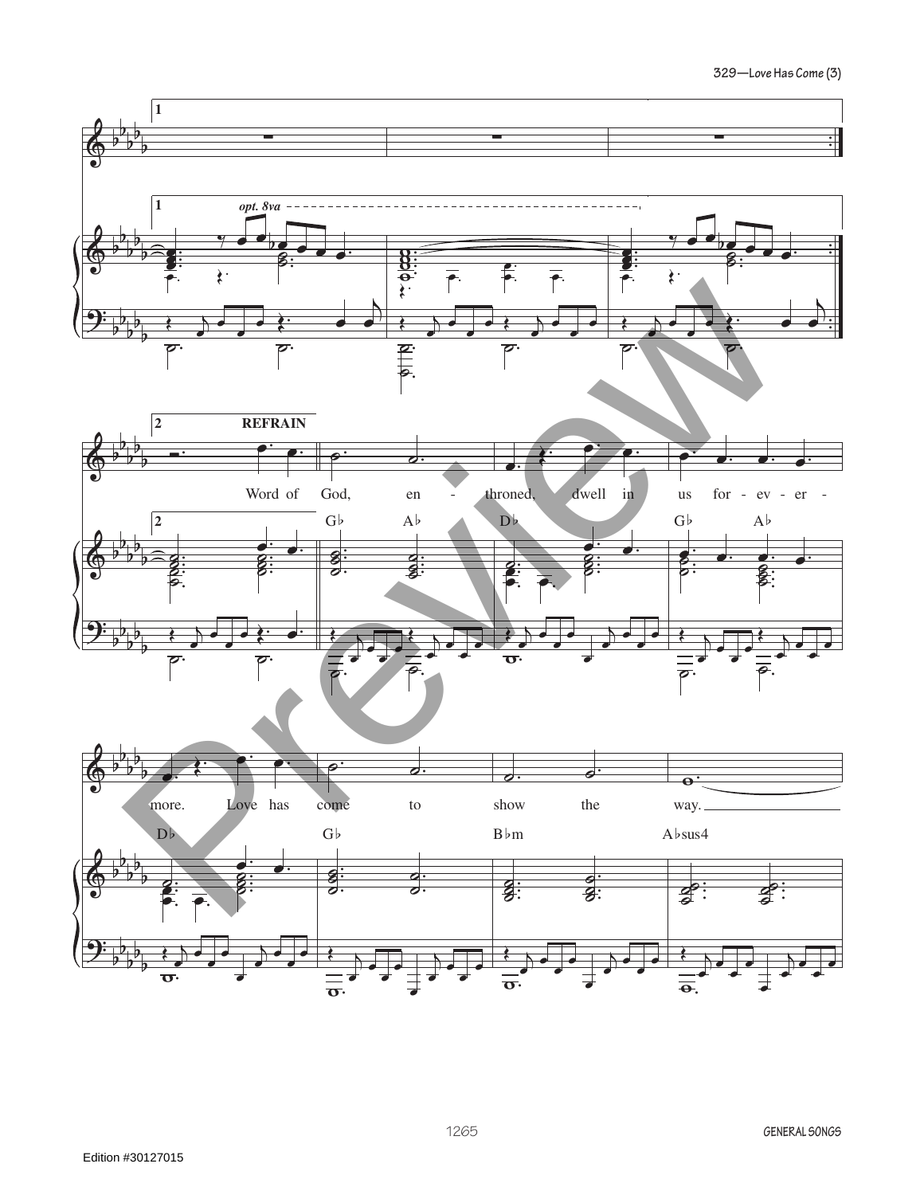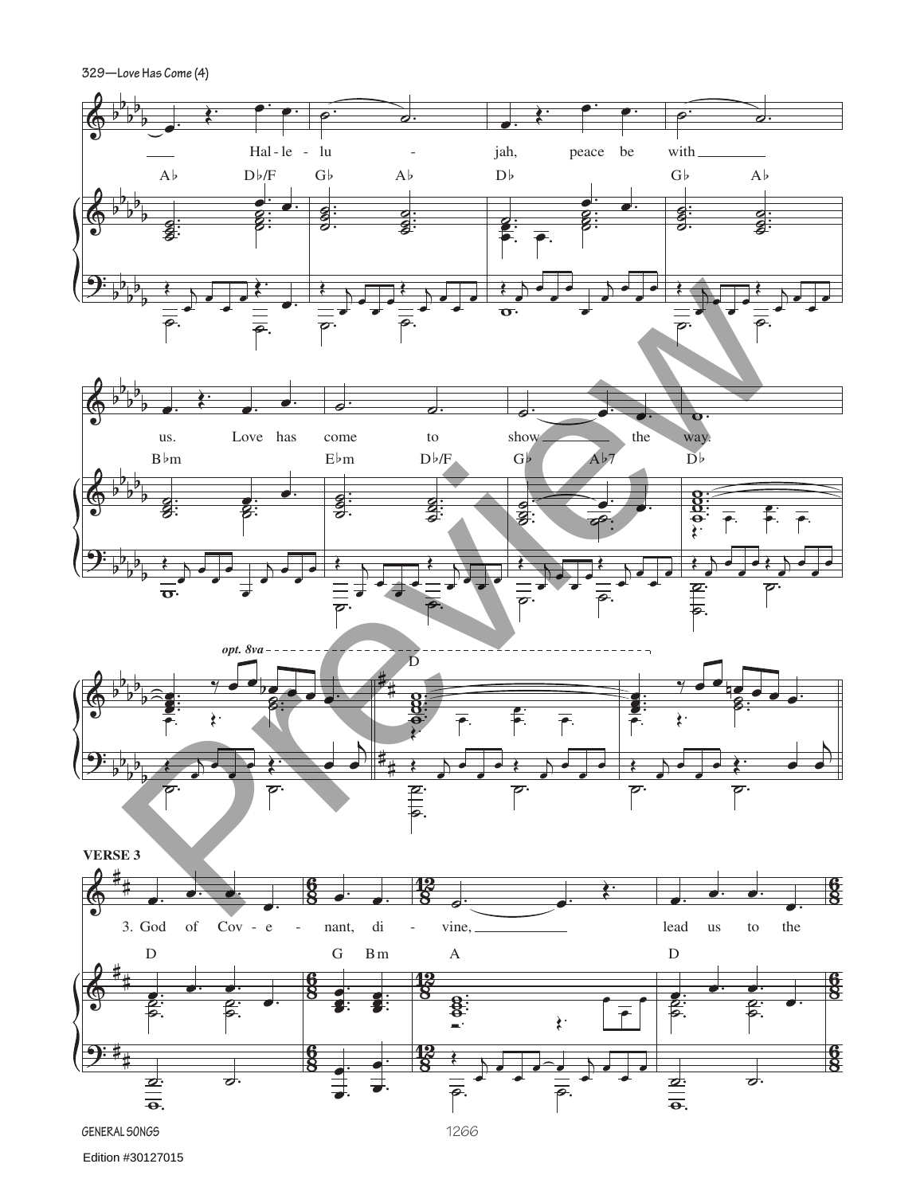329-Love Has Come (4)



Edition #30127015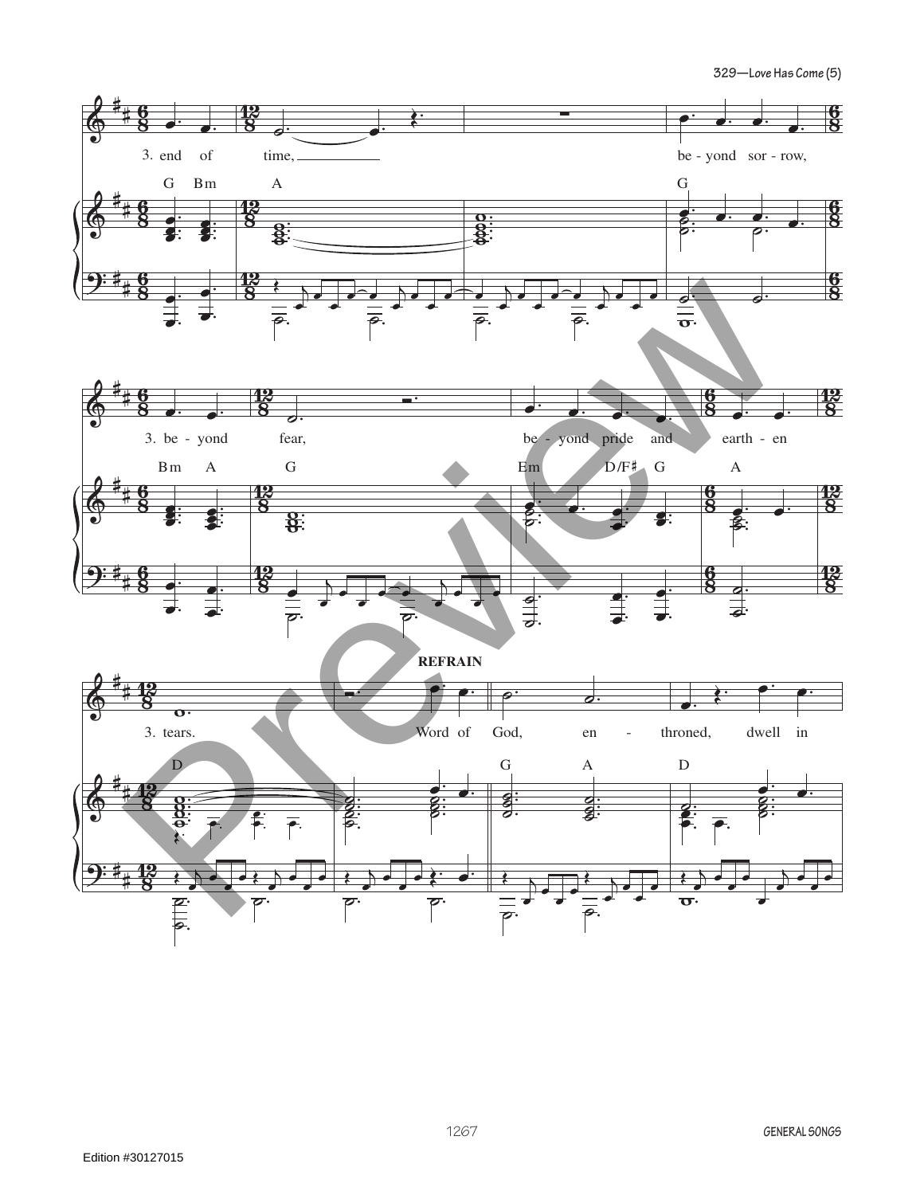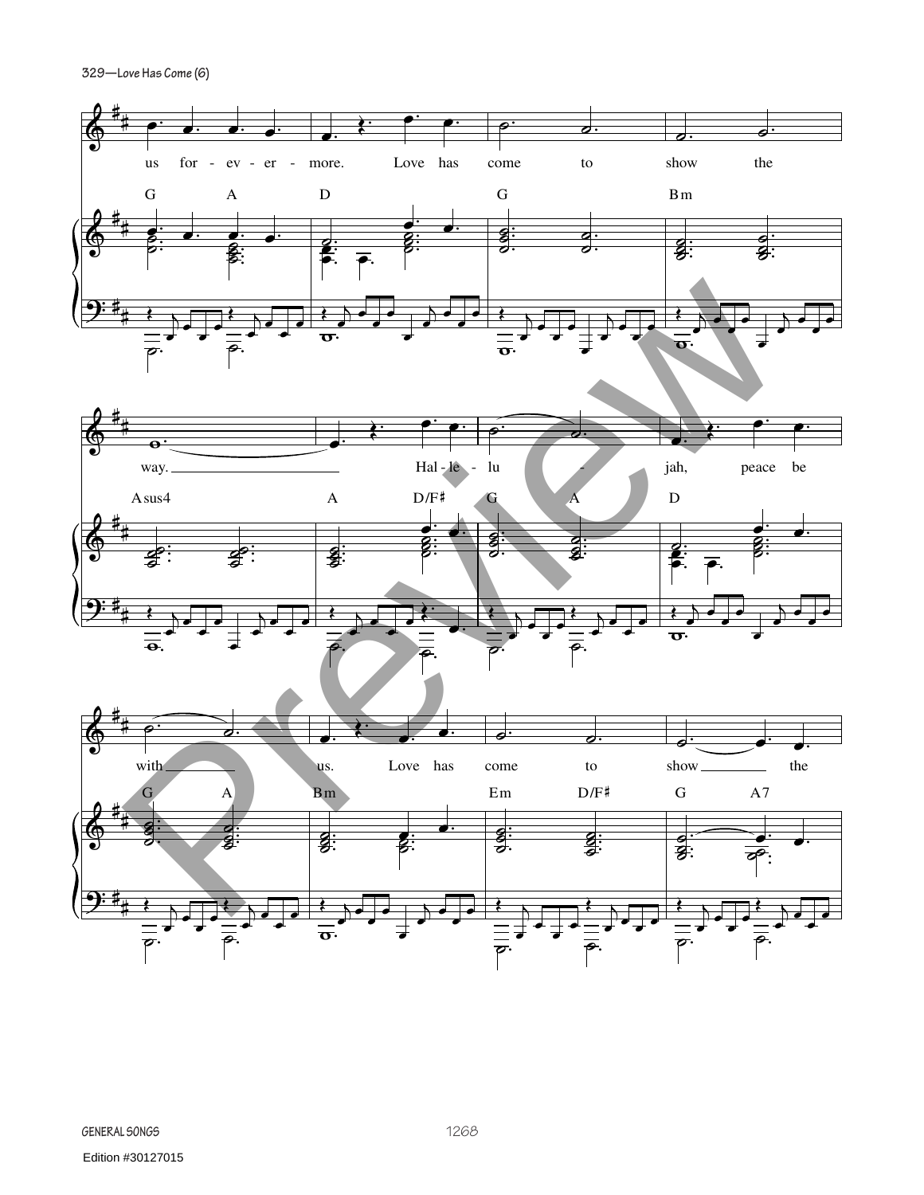329-Love Has Come (6)

![](_page_5_Figure_1.jpeg)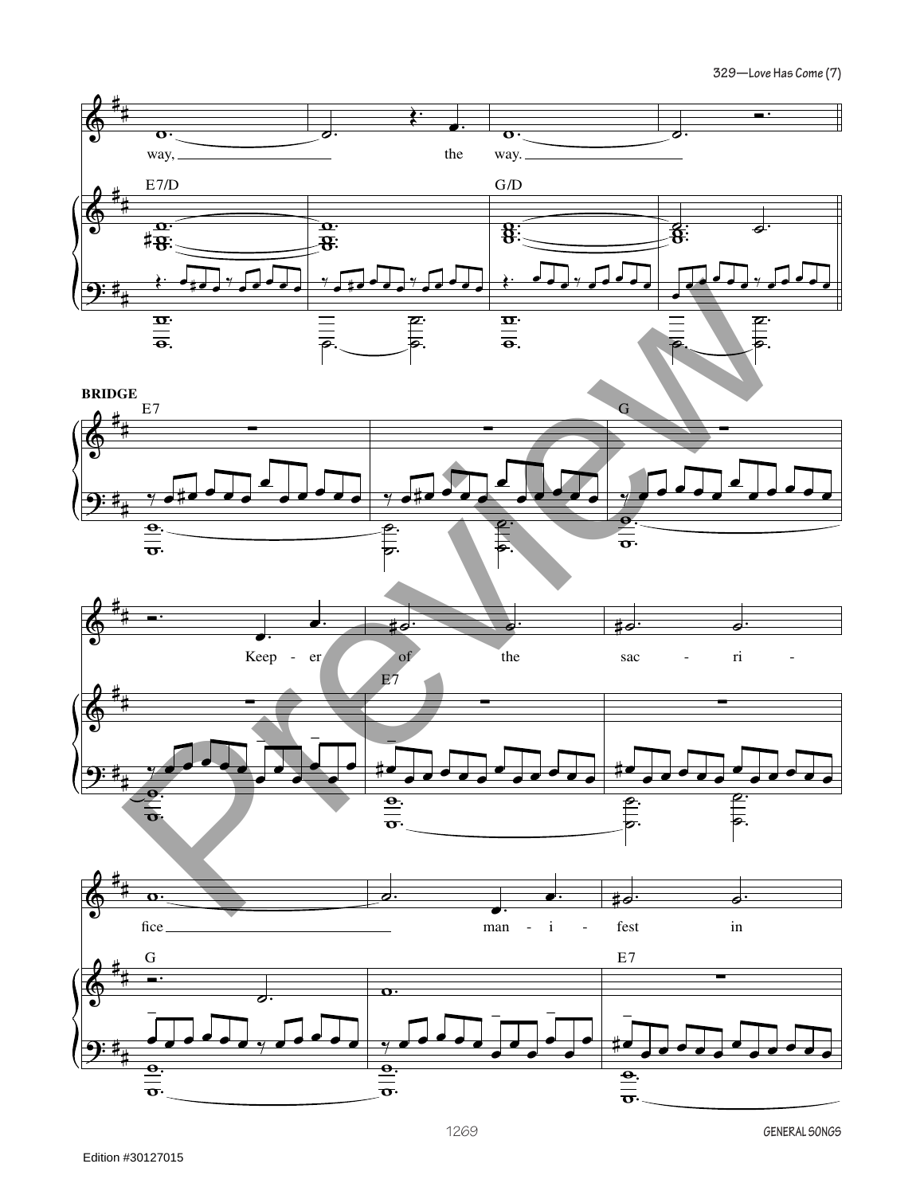![](_page_6_Figure_1.jpeg)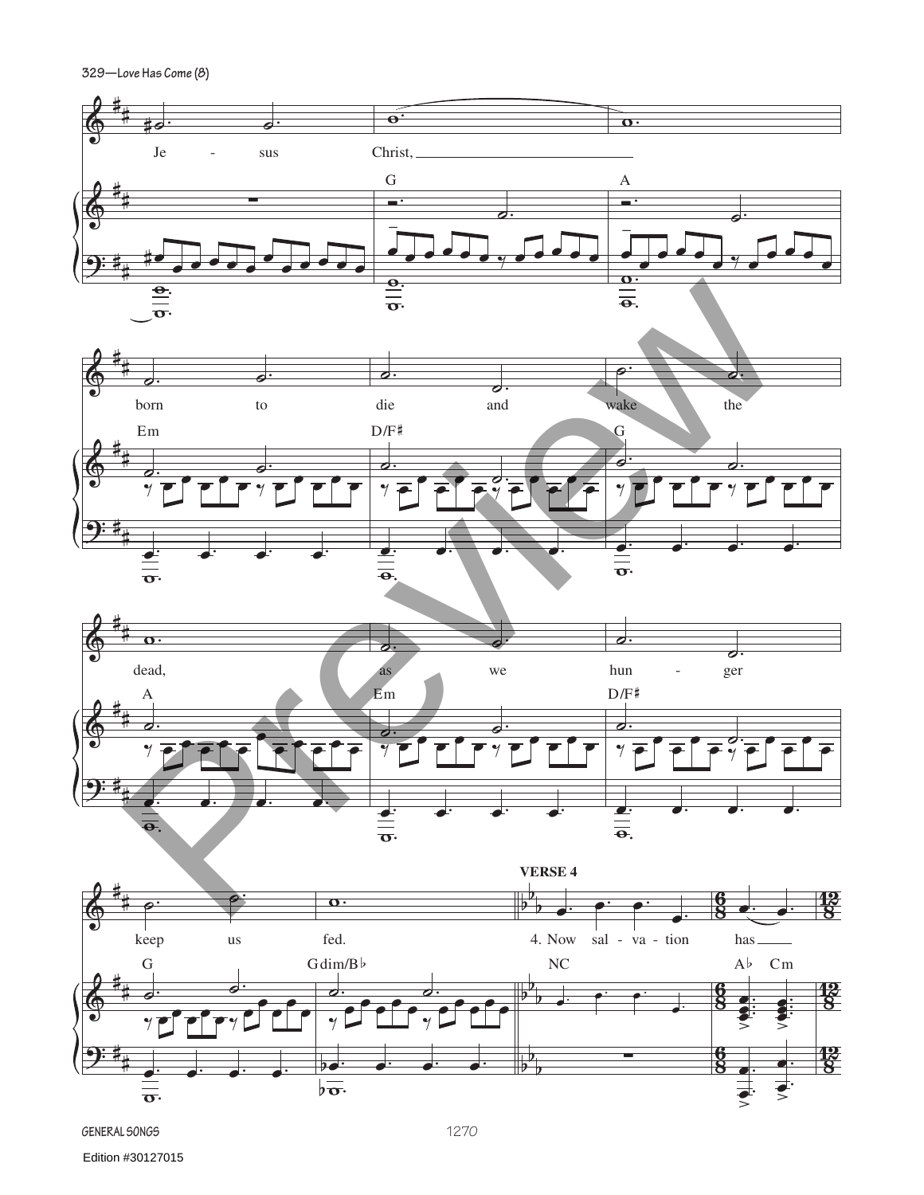329-Love Has Come (8)

![](_page_7_Figure_1.jpeg)

![](_page_7_Figure_2.jpeg)

![](_page_7_Figure_3.jpeg)

GENERAL SONGS

Edition #30127015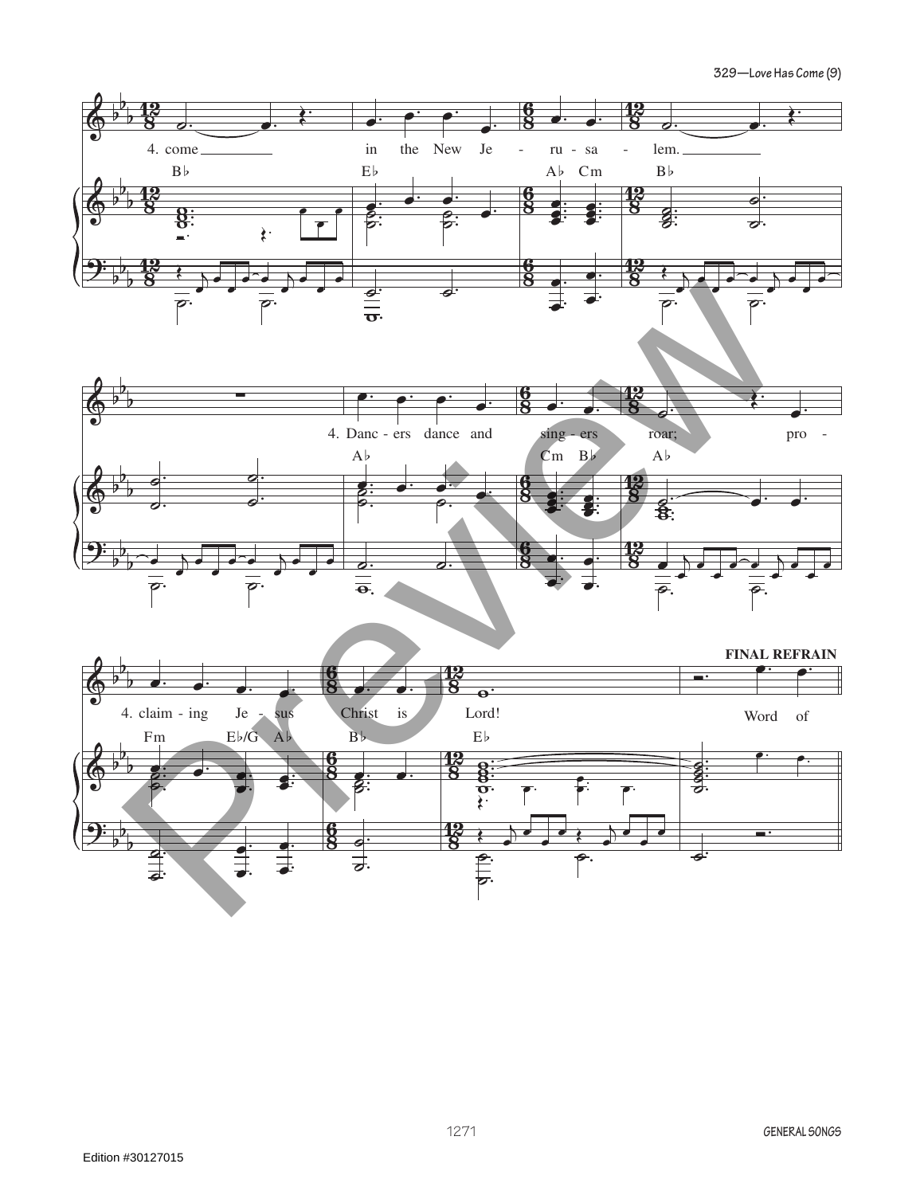![](_page_8_Figure_1.jpeg)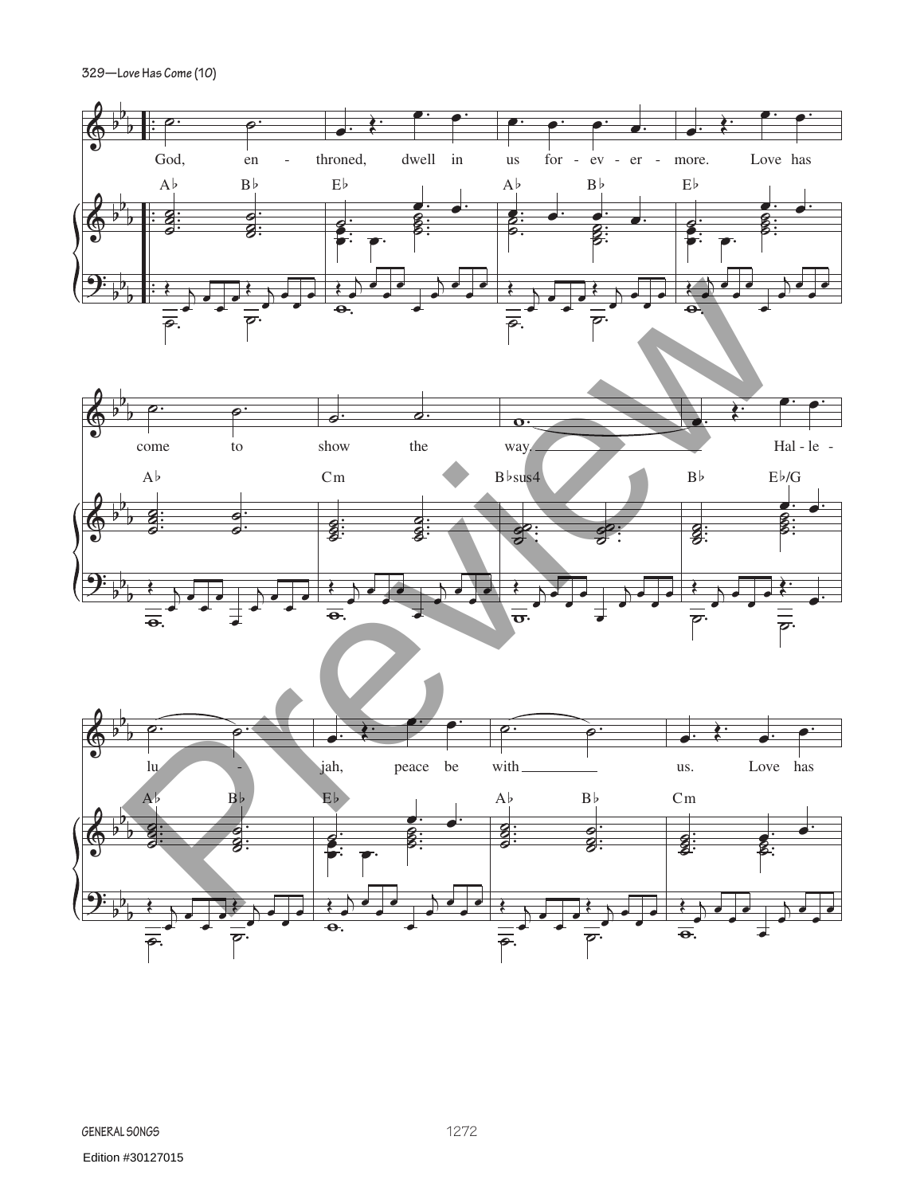329-Love Has Come (10)

![](_page_9_Figure_1.jpeg)